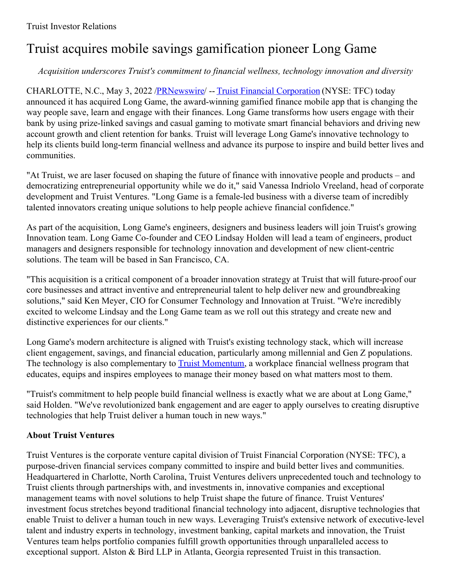# Truist acquires mobile savings gamification pioneer Long Game

## *Acquisition underscores Truist's commitment to financial wellness, technology innovation and diversity*

CHARLOTTE, N.C., May 3, 2022 [/PRNewswire](http://www.prnewswire.com/)/ -- Truist Financial [Corporation](https://c212.net/c/link/?t=0&l=en&o=3523518-1&h=3419828312&u=https%3A%2F%2Fwww.truist.com%2F&a=Truist+Financial+Corporation) (NYSE: TFC) today announced it has acquired Long Game, the award-winning gamified finance mobile app that is changing the way people save, learn and engage with their finances. Long Game transforms how users engage with their bank by using prize-linked savings and casual gaming to motivate smart financial behaviors and driving new account growth and client retention for banks. Truist will leverage Long Game's innovative technology to help its clients build long-term financial wellness and advance its purpose to inspire and build better lives and communities.

"At Truist, we are laser focused on shaping the future of finance with innovative people and products – and democratizing entrepreneurial opportunity while we do it," said Vanessa Indriolo Vreeland, head of corporate development and Truist Ventures. "Long Game is a female-led business with a diverse team of incredibly talented innovators creating unique solutions to help people achieve financial confidence."

As part of the acquisition, Long Game's engineers, designers and business leaders will join Truist's growing Innovation team. Long Game Co-founder and CEO Lindsay Holden will lead a team of engineers, product managers and designers responsible for technology innovation and development of new client-centric solutions. The team will be based in San Francisco, CA.

"This acquisition is a critical component of a broader innovation strategy at Truist that will future-proof our core businesses and attract inventive and entrepreneurial talent to help deliver new and groundbreaking solutions," said Ken Meyer, CIO for Consumer Technology and Innovation at Truist. "We're incredibly excited to welcome Lindsay and the Long Game team as we roll out this strategy and create new and distinctive experiences for our clients."

Long Game's modern architecture is aligned with Truist's existing technology stack, which will increase client engagement, savings, and financial education, particularly among millennial and Gen Z populations. The technology is also complementary to **Truist [Momentum](https://c212.net/c/link/?t=0&l=en&o=3523518-1&h=12417680&u=https%3A%2F%2Fwww.truist.com%2Flp%2Fmomentum&a=Truist+Momentum)**, a workplace financial wellness program that educates, equips and inspires employees to manage their money based on what matters most to them.

"Truist's commitment to help people build financial wellness is exactly what we are about at Long Game," said Holden. "We've revolutionized bank engagement and are eager to apply ourselves to creating disruptive technologies that help Truist deliver a human touch in new ways."

## **About Truist Ventures**

Truist Ventures is the corporate venture capital division of Truist Financial Corporation (NYSE: TFC), a purpose-driven financial services company committed to inspire and build better lives and communities. Headquartered in Charlotte, North Carolina, Truist Ventures delivers unprecedented touch and technology to Truist clients through partnerships with, and investments in, innovative companies and exceptional management teams with novel solutions to help Truist shape the future of finance. Truist Ventures' investment focus stretches beyond traditional financial technology into adjacent, disruptive technologies that enable Truist to deliver a human touch in new ways. Leveraging Truist's extensive network of executive-level talent and industry experts in technology, investment banking, capital markets and innovation, the Truist Ventures team helps portfolio companies fulfill growth opportunities through unparalleled access to exceptional support. Alston & Bird LLP in Atlanta, Georgia represented Truist in this transaction.